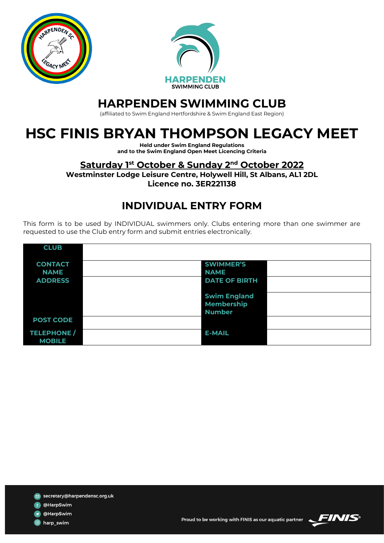



## **HARPENDEN SWIMMING CLUB**

(affiliated to Swim England Hertfordshire & Swim England East Region)

# **HSC FINIS BRYAN THOMPSON LEGACY MEET**

**Held under Swim England Regulations and to the Swim England Open Meet Licencing Criteria**

### **Saturday 1st October & Sunday 2nd October 2022**

**Westminster Lodge Leisure Centre, Holywell Hill, St Albans, AL1 2DL Licence no. 3ER221138**

### **INDIVIDUAL ENTRY FORM**

This form is to be used by INDIVIDUAL swimmers only. Clubs entering more than one swimmer are requested to use the Club entry form and submit entries electronically.

| <b>CLUB</b>                         |                                          |
|-------------------------------------|------------------------------------------|
| <b>CONTACT</b>                      | <b>SWIMMER'S</b>                         |
| <b>NAME</b><br><b>ADDRESS</b>       | <b>NAME</b><br><b>DATE OF BIRTH</b>      |
|                                     |                                          |
|                                     | <b>Swim England</b><br><b>Membership</b> |
|                                     | <b>Number</b>                            |
| <b>POST CODE</b>                    |                                          |
| <b>TELEPHONE /</b><br><b>MOBILE</b> | <b>E-MAIL</b>                            |

- f @HarpSwim
- **v** @HarpSwim

d harp\_swim



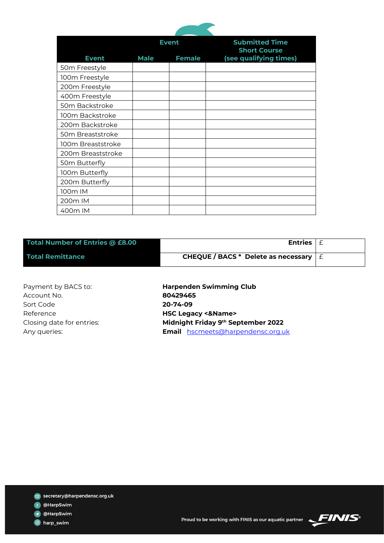

|                   | <b>Event</b> |               | <b>Submitted Time</b><br><b>Short Course</b> |
|-------------------|--------------|---------------|----------------------------------------------|
| <b>Event</b>      | <b>Male</b>  | <b>Female</b> | (see qualifying times)                       |
| 50m Freestyle     |              |               |                                              |
| 100m Freestyle    |              |               |                                              |
| 200m Freestyle    |              |               |                                              |
| 400m Freestyle    |              |               |                                              |
| 50m Backstroke    |              |               |                                              |
| 100m Backstroke   |              |               |                                              |
| 200m Backstroke   |              |               |                                              |
| 50m Breaststroke  |              |               |                                              |
| 100m Breaststroke |              |               |                                              |
| 200m Breaststroke |              |               |                                              |
| 50m Butterfly     |              |               |                                              |
| 100m Butterfly    |              |               |                                              |
| 200m Butterfly    |              |               |                                              |
| 100m IM           |              |               |                                              |
| 200m IM           |              |               |                                              |
| 400m IM           |              |               |                                              |

| Total Number of Entries @ £8.00 | Entries $\vert \text{ } \in$                          |  |
|---------------------------------|-------------------------------------------------------|--|
| <b>Total Remittance</b>         | CHEQUE / BACS * Delete as necessary $\vert \pm \vert$ |  |

Account No. **80429465** Sort Code **20-74-09** Reference **HSC Legacy <&Name>** Closing date for entries:

Payment by BACS to: **Harpenden Swimming Club Midnight Friday 9th September 2022** Any queries: **Email** [hscmeets@harpendensc.org.uk](mailto:hscmeets@harpendensc.org.uk)

secretary@harpendensc.org.uk

f @HarpSwim

OHarpSwim

**O** harp\_swim